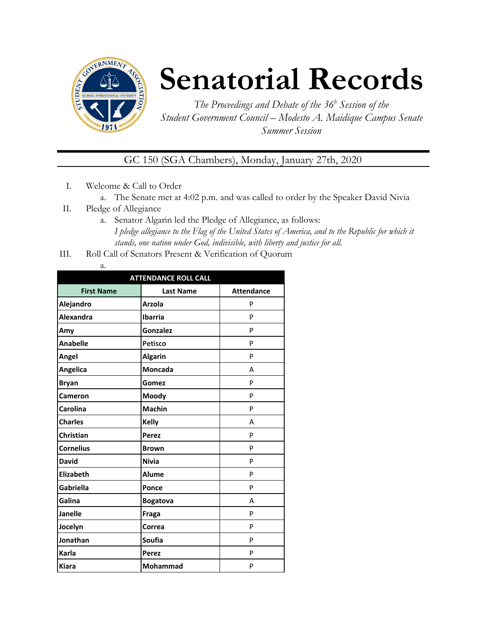

# **Senatorial Records**

*The Proceedings and Debate of the 36 <sup>h</sup> Session of the Student Government Council – Modesto A. Maidique Campus Senate Summer Session*

GC 150 (SGA Chambers), Monday, January 27th, 2020

- I. Welcome & Call to Order
	- a. The Senate met at 4:02 p.m. and was called to order by the Speaker David Nivia
- II. Pledge of Allegiance
	- a. Senator Algarin led the Pledge of Allegiance, as follows: *I pledge allegiance to the Flag of the United States of America, and to the Republic for which it stands, one nation under God, indivisible, with liberty and justice for all.*
- III. Roll Call of Senators Present & Verification of Quorum

| . .<br>÷<br>۰. |
|----------------|

| <b>ATTENDANCE ROLL CALL</b> |                  |                   |  |  |
|-----------------------------|------------------|-------------------|--|--|
| <b>First Name</b>           | <b>Last Name</b> | <b>Attendance</b> |  |  |
| Alejandro                   | <b>Arzola</b>    | P                 |  |  |
| <b>Alexandra</b>            | <b>Ibarria</b>   | P                 |  |  |
| Amy                         | Gonzalez         | P                 |  |  |
| <b>Anabelle</b>             | <b>Petisco</b>   | P                 |  |  |
| Angel                       | <b>Algarin</b>   | P                 |  |  |
| Angelica                    | <b>Moncada</b>   | А                 |  |  |
| <b>Bryan</b>                | Gomez            | P                 |  |  |
| <b>Cameron</b>              | Moody            | P                 |  |  |
| Carolina                    | <b>Machin</b>    | P                 |  |  |
| <b>Charles</b>              | <b>Kelly</b>     | А                 |  |  |
| Christian                   | Perez            | P                 |  |  |
| <b>Cornelius</b>            | <b>Brown</b>     | P                 |  |  |
| <b>David</b>                | <b>Nivia</b>     | P                 |  |  |
| <b>Elizabeth</b>            | <b>Alume</b>     | P                 |  |  |
| Gabriella                   | Ponce            | P                 |  |  |
| Galina                      | <b>Bogatova</b>  | A                 |  |  |
| <b>Janelle</b>              | Fraga            | P                 |  |  |
| Jocelyn                     | Correa           | P                 |  |  |
| Jonathan                    | Soufia           | P                 |  |  |
| Karla                       | <b>Perez</b>     | P                 |  |  |
| <b>Kiara</b>                | <b>Mohammad</b>  | P                 |  |  |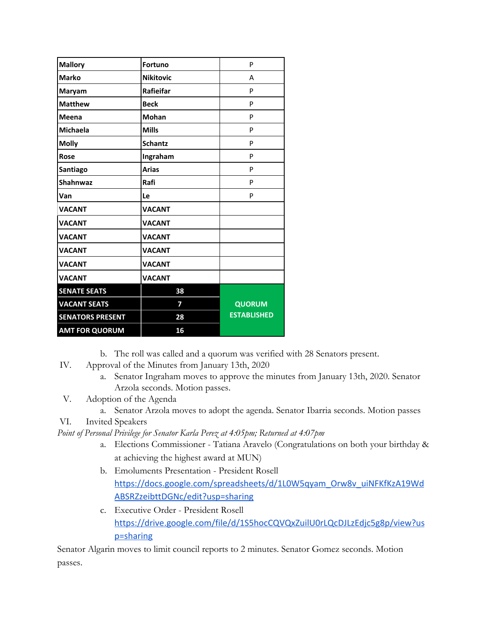| <b>Mallory</b>          | <b>Fortuno</b>   | P                  |
|-------------------------|------------------|--------------------|
| <b>Marko</b>            | <b>Nikitovic</b> | A                  |
| Maryam                  | Rafieifar        | P                  |
| <b>Matthew</b>          | <b>Beck</b>      | P                  |
| Meena                   | <b>Mohan</b>     | P                  |
| <b>Michaela</b>         | <b>Mills</b>     | P                  |
| <b>Molly</b>            | <b>Schantz</b>   | P                  |
| <b>Rose</b>             | Ingraham         | P                  |
| Santiago                | <b>Arias</b>     | P                  |
| <b>Shahnwaz</b>         | Rafi             | P                  |
| Van                     | Le               | P                  |
| <b>VACANT</b>           | <b>VACANT</b>    |                    |
| <b>VACANT</b>           | <b>VACANT</b>    |                    |
| <b>VACANT</b>           | <b>VACANT</b>    |                    |
| <b>VACANT</b>           | <b>VACANT</b>    |                    |
| <b>VACANT</b>           | <b>VACANT</b>    |                    |
| <b>VACANT</b>           | <b>VACANT</b>    |                    |
| <b>SENATE SEATS</b>     | 38               |                    |
| <b>VACANT SEATS</b>     | 7                | QUORUM             |
| <b>SENATORS PRESENT</b> | 28               | <b>ESTABLISHED</b> |
| <b>AMT FOR QUORUM</b>   | 16               |                    |

b. The roll was called and a quorum was verified with 28 Senators present.

IV. Approval of the Minutes from January 13th, 2020

- a. Senator Ingraham moves to approve the minutes from January 13th, 2020. Senator Arzola seconds. Motion passes.
- V. Adoption of the Agenda
	- a. Senator Arzola moves to adopt the agenda. Senator Ibarria seconds. Motion passes
- VI. Invited Speakers

*Point of Personal Privilege for Senator Karla Perez at 4:05pm; Returned at 4:07pm*

- a. Elections Commissioner Tatiana Aravelo (Congratulations on both your birthday & at achieving the highest award at MUN)
- b. Emoluments Presentation President Rosell [https://docs.google.com/spreadsheets/d/1L0W5qyam\\_Orw8v\\_uiNFKfKzA19Wd](https://docs.google.com/spreadsheets/d/1L0W5qyam_Orw8v_uiNFKfKzA19WdABSRZzeibttDGNc/edit?usp=sharing) [ABSRZzeibttDGNc/edit?usp=sharing](https://docs.google.com/spreadsheets/d/1L0W5qyam_Orw8v_uiNFKfKzA19WdABSRZzeibttDGNc/edit?usp=sharing)
- c. Executive Order President Rosell [https://drive.google.com/file/d/1S5hocCQVQxZuilU0rLQcDJLzEdjc5g8p/view?us](https://drive.google.com/file/d/1S5hocCQVQxZuilU0rLQcDJLzEdjc5g8p/view?usp=sharing) [p=sharing](https://drive.google.com/file/d/1S5hocCQVQxZuilU0rLQcDJLzEdjc5g8p/view?usp=sharing)

Senator Algarin moves to limit council reports to 2 minutes. Senator Gomez seconds. Motion passes.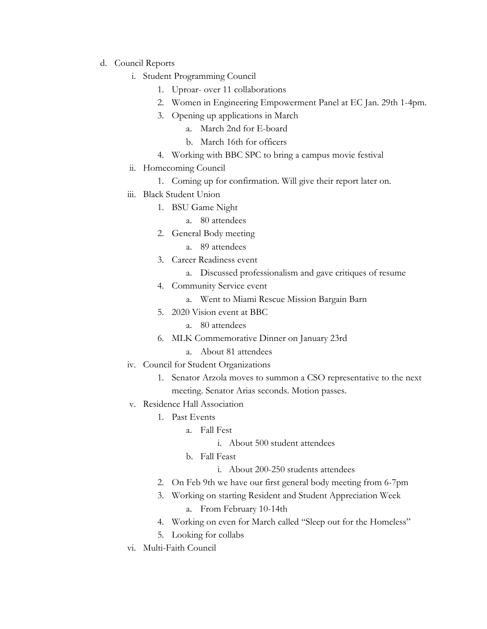- d. Council Reports
	- i. Student Programming Council
		- 1. Uproar- over 11 collaborations
		- 2. Women in Engineering Empowerment Panel at EC Jan. 29th 1-4pm.
		- 3. Opening up applications in March
			- a. March 2nd for E-board
			- b. March 16th for officers
		- 4. Working with BBC SPC to bring a campus movie festival
	- ii. Homecoming Council
		- 1. Coming up for confirmation. Will give their report later on.
	- iii. Black Student Union
		- 1. BSU Game Night
			- a. 80 attendees
		- 2. General Body meeting
			- a. 89 attendees
		- 3. Career Readiness event
			- a. Discussed professionalism and gave critiques of resume
		- 4. Community Service event
			- a. Went to Miami Rescue Mission Bargain Barn
		- 5. 2020 Vision event at BBC
			- a. 80 attendees
		- 6. MLK Commemorative Dinner on January 23rd
			- a. About 81 attendees
	- iv. Council for Student Organizations
		- 1. Senator Arzola moves to summon a CSO representative to the next meeting. Senator Arias seconds. Motion passes.
	- v. Residence Hall Association
		- 1. Past Events
			- a. Fall Fest
				- i. About 500 student attendees
			- b. Fall Feast
				- i. About 200-250 students attendees
		- 2. On Feb 9th we have our first general body meeting from 6-7pm
		- 3. Working on starting Resident and Student Appreciation Week a. From February 10-14th
		- 4. Working on even for March called "Sleep out for the Homeless"
		- 5. Looking for collabs
	- vi. Multi-Faith Council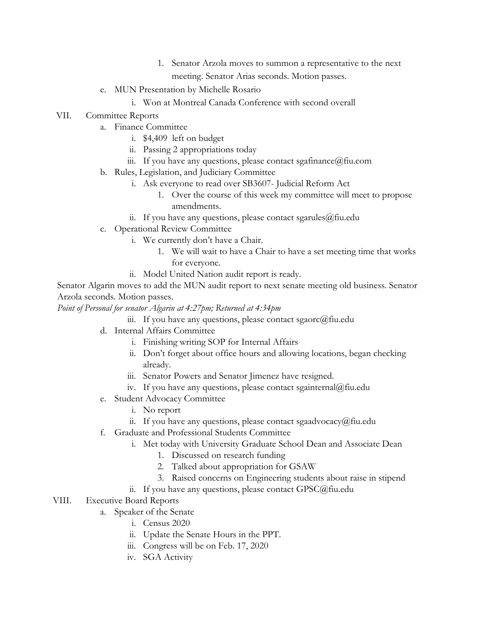- 1. Senator Arzola moves to summon a representative to the next meeting. Senator Arias seconds. Motion passes.
- e. MUN Presentation by Michelle Rosario
	- i. Won at Montreal Canada Conference with second overall
- VII. Committee Reports
	- a. Finance Committee
		- i. \$4,409 left on budget
		- ii. Passing 2 appropriations today
		- iii. If you have any questions, please contact sgafinance@fiu.com
		- b. Rules, Legislation, and Judiciary Committee
			- i. Ask everyone to read over SB3607- Judicial Reform Act
				- 1. Over the course of this week my committee will meet to propose amendments.
			- ii. If you have any questions, please contact sgarules@fiu.edu
		- c. Operational Review Committee
			- i. We currently don't have a Chair.
				- 1. We will wait to have a Chair to have a set meeting time that works for everyone.
			- ii. Model United Nation audit report is ready.

Senator Algarin moves to add the MUN audit report to next senate meeting old business. Senator Arzola seconds. Motion passes.

*Point of Personal for senator Algarin at 4:27pm; Returned at 4:34pm*

- iii. If you have any questions, please contact sgaorc $@$ fiu.edu
- d. Internal Affairs Committee
	- i. Finishing writing SOP for Internal Affairs
	- ii. Don't forget about office hours and allowing locations, began checking already.
	- iii. Senator Powers and Senator Jimenez have resigned.
	- iv. If you have any questions, please contact sgainternal@fiu.edu
- e. Student Advocacy Committee
	- i. No report
	- ii. If you have any questions, please contact sgaadvocacy@fiu.edu
- f. Graduate and Professional Students Committee
	- i. Met today with University Graduate School Dean and Associate Dean
		- 1. Discussed on research funding
		- 2. Talked about appropriation for GSAW
		- 3. Raised concerns on Engineering students about raise in stipend
	- ii. If you have any questions, please contact GPSC@fiu.edu
- VIII. Executive Board Reports
	- a. Speaker of the Senate
		- i. Census 2020
		- ii. Update the Senate Hours in the PPT.
		- iii. Congress will be on Feb. 17, 2020
		- iv. SGA Activity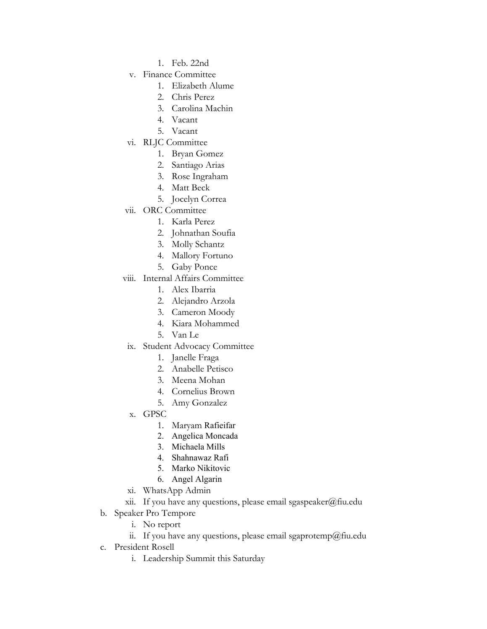- 1. Feb. 22nd
- v. Finance Committee
	- 1. Elizabeth Alume
	- 2. Chris Perez
	- 3. Carolina Machin
	- 4. Vacant
	- 5. Vacant
- vi. RLJC Committee
	- 1. Bryan Gomez
	- 2. Santiago Arias
	- 3. Rose Ingraham
	- 4. Matt Beck
	- 5. Jocelyn Correa
- vii. ORC Committee
	- 1. Karla Perez
	- 2. Johnathan Soufia
	- 3. Molly Schantz
	- 4. Mallory Fortuno
	- 5. Gaby Ponce
- viii. Internal Affairs Committee
	- 1. Alex Ibarria
	- 2. Alejandro Arzola
	- 3. Cameron Moody
	- 4. Kiara Mohammed
	- 5. Van Le
- ix. Student Advocacy Committee
	- 1. Janelle Fraga
	- 2. Anabelle Petisco
	- 3. Meena Mohan
	- 4. Cornelius Brown
	- 5. Amy Gonzalez
- x. GPSC
	- 1. Maryam Rafieifar
	- 2. Angelica Moncada
	- 3. Michaela Mills
	- 4. Shahnawaz Rafi
	- 5. Marko Nikitovic
	- 6. Angel Algarin
- xi. WhatsApp Admin
- xii. If you have any questions, please email sgaspeaker@fiu.edu
- b. Speaker Pro Tempore
	- i. No report
	- ii. If you have any questions, please email sgaprotemp@fiu.edu
- c. President Rosell
	- i. Leadership Summit this Saturday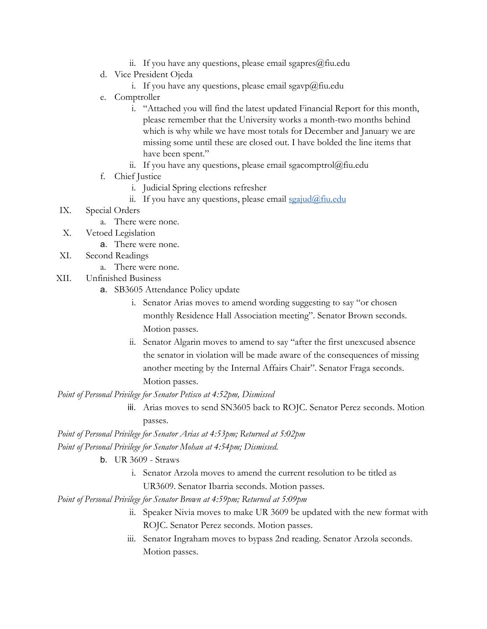- ii. If you have any questions, please email sgapres $@$ fiu.edu
- d. Vice President Ojeda
	- i. If you have any questions, please email sgavp $@$ fiu.edu
- e. Comptroller
	- i. "Attached you will find the latest updated Financial Report for this month, please remember that the University works a month-two months behind which is why while we have most totals for December and January we are missing some until these are closed out. I have bolded the line items that have been spent."
	- ii. If you have any questions, please email sgacomptrol $@$ fiu.edu
- f. Chief Justice
	- i. Judicial Spring elections refresher
	- ii. If you have any questions, please email  $\frac{\sigma}{\sigma}$  in  $\frac{\sigma}{\sigma}$
- IX. Special Orders
	- a. There were none.
- X. Vetoed Legislation
	- a. There were none.
- XI. Second Readings
	- a. There were none.
- XII. Unfinished Business
	- a. SB3605 Attendance Policy update
		- i. Senator Arias moves to amend wording suggesting to say "or chosen monthly Residence Hall Association meeting". Senator Brown seconds. Motion passes.
		- ii. Senator Algarin moves to amend to say "after the first unexcused absence the senator in violation will be made aware of the consequences of missing another meeting by the Internal Affairs Chair". Senator Fraga seconds. Motion passes.

*Point of Personal Privilege for Senator Petisco at 4:52pm, Dismissed*

iii. Arias moves to send SN3605 back to ROJC. Senator Perez seconds. Motion passes.

*Point of Personal Privilege for Senator Arias at 4:53pm; Returned at 5:02pm Point of Personal Privilege for Senator Mohan at 4:54pm; Dismissed.*

- b. UR 3609 Straws
	- i. Senator Arzola moves to amend the current resolution to be titled as UR3609. Senator Ibarria seconds. Motion passes.

*Point of Personal Privilege for Senator Brown at 4:59pm; Returned at 5:09pm*

- ii. Speaker Nivia moves to make UR 3609 be updated with the new format with ROJC. Senator Perez seconds. Motion passes.
- iii. Senator Ingraham moves to bypass 2nd reading. Senator Arzola seconds. Motion passes.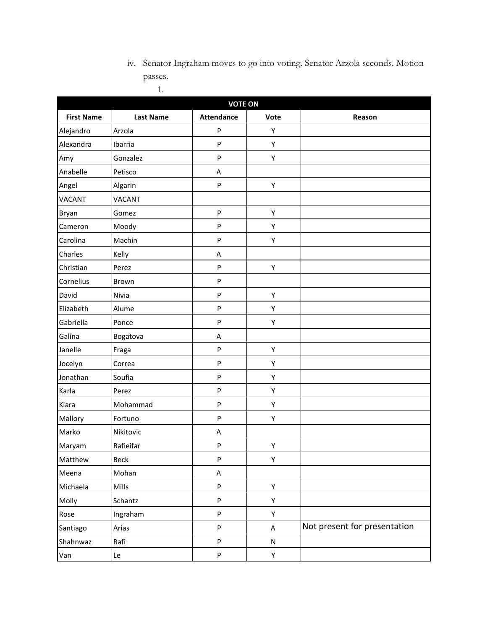iv. Senator Ingraham moves to go into voting. Senator Arzola seconds. Motion passes. 1.

| <b>VOTE ON</b>    |                  |                   |      |                              |  |
|-------------------|------------------|-------------------|------|------------------------------|--|
| <b>First Name</b> | <b>Last Name</b> | <b>Attendance</b> | Vote | Reason                       |  |
| Alejandro         | Arzola           | P                 | Υ    |                              |  |
| Alexandra         | Ibarria          | P                 | Υ    |                              |  |
| Amy               | Gonzalez         | P                 | Υ    |                              |  |
| Anabelle          | Petisco          | A                 |      |                              |  |
| Angel             | Algarin          | P                 | Υ    |                              |  |
| <b>VACANT</b>     | <b>VACANT</b>    |                   |      |                              |  |
| Bryan             | Gomez            | P                 | Υ    |                              |  |
| Cameron           | Moody            | P                 | Υ    |                              |  |
| Carolina          | Machin           | P                 | Υ    |                              |  |
| Charles           | Kelly            | A                 |      |                              |  |
| Christian         | Perez            | P                 | Υ    |                              |  |
| Cornelius         | Brown            | P                 |      |                              |  |
| David             | Nivia            | P                 | Υ    |                              |  |
| Elizabeth         | Alume            | P                 | Υ    |                              |  |
| Gabriella         | Ponce            | P                 | Υ    |                              |  |
| Galina            | Bogatova         | A                 |      |                              |  |
| Janelle           | Fraga            | P                 | Υ    |                              |  |
| Jocelyn           | Correa           | P                 | Υ    |                              |  |
| Jonathan          | Soufia           | P                 | Υ    |                              |  |
| Karla             | Perez            | P                 | Υ    |                              |  |
| Kiara             | Mohammad         | P                 | Υ    |                              |  |
| Mallory           | Fortuno          | P                 | Υ    |                              |  |
| Marko             | Nikitovic        | A                 |      |                              |  |
| Maryam            | Rafieifar        | P                 | Υ    |                              |  |
| Matthew           | Beck             | P                 | Υ    |                              |  |
| Meena             | Mohan            | Α                 |      |                              |  |
| Michaela          | Mills            | P                 | Υ    |                              |  |
| Molly             | Schantz          | P                 | Υ    |                              |  |
| Rose              | Ingraham         | P                 | Υ    |                              |  |
| Santiago          | Arias            | P                 | A    | Not present for presentation |  |
| Shahnwaz          | Rafi             | P                 | N    |                              |  |
| Van               | Le               | P                 | Y    |                              |  |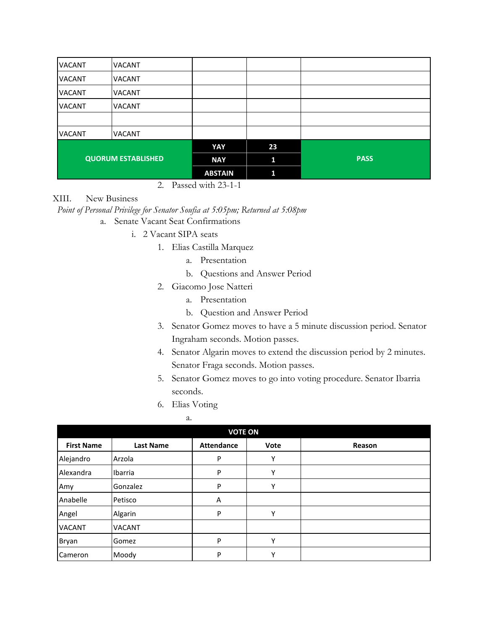| <b>VACANT</b>             | <b>VACANT</b> |                |    |             |
|---------------------------|---------------|----------------|----|-------------|
| <b>VACANT</b>             | <b>VACANT</b> |                |    |             |
| <b>VACANT</b>             | <b>VACANT</b> |                |    |             |
| <b>VACANT</b>             | <b>VACANT</b> |                |    |             |
|                           |               |                |    |             |
| <b>VACANT</b>             | <b>VACANT</b> |                |    |             |
|                           |               | YAY            | 23 |             |
| <b>QUORUM ESTABLISHED</b> |               | <b>NAY</b>     | 11 | <b>PASS</b> |
|                           |               | <b>ABSTAIN</b> | ĩ1 |             |

#### 2. Passed with 23-1-1

#### XIII. New Business

*Point of Personal Privilege for Senator Soufia at 5:05pm; Returned at 5:08pm*

a. Senate Vacant Seat Confirmations

i. 2 Vacant SIPA seats

- 1. Elias Castilla Marquez
	- a. Presentation
	- b. Questions and Answer Period
- 2. Giacomo Jose Natteri
	- a. Presentation
	- b. Question and Answer Period
- 3. Senator Gomez moves to have a 5 minute discussion period. Senator Ingraham seconds. Motion passes.
- 4. Senator Algarin moves to extend the discussion period by 2 minutes. Senator Fraga seconds. Motion passes.
- 5. Senator Gomez moves to go into voting procedure. Senator Ibarria seconds.
- 6. Elias Voting
	- a.

| <b>VOTE ON</b>    |                  |                   |      |        |
|-------------------|------------------|-------------------|------|--------|
| <b>First Name</b> | <b>Last Name</b> | <b>Attendance</b> | Vote | Reason |
| Alejandro         | Arzola           | P                 | Υ    |        |
| Alexandra         | Ibarria          | P                 | Υ    |        |
| Amy               | Gonzalez         | P                 | Υ    |        |
| Anabelle          | Petisco          | A                 |      |        |
| Angel             | Algarin          | P                 | Υ    |        |
| <b>VACANT</b>     | <b>VACANT</b>    |                   |      |        |
| Bryan             | Gomez            | P                 | Υ    |        |
| Cameron           | Moody            | P                 | v    |        |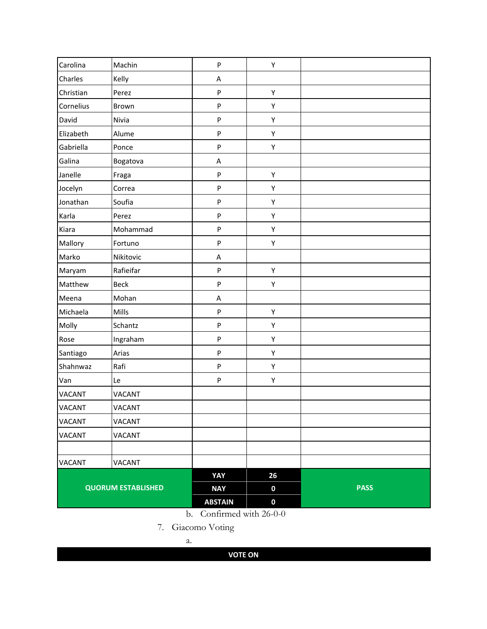| Carolina                  | Machin        | $\mathsf{P}$   | Υ                |             |
|---------------------------|---------------|----------------|------------------|-------------|
| Charles                   | Kelly         | A              |                  |             |
| Christian                 | Perez         | ${\sf P}$      | Υ                |             |
| Cornelius                 | Brown         | $\sf P$        | Υ                |             |
| David                     | Nivia         | $\sf P$        | Υ                |             |
| Elizabeth                 | Alume         | $\mathsf{P}$   | Υ                |             |
| Gabriella                 | Ponce         | ${\sf P}$      | Υ                |             |
| Galina                    | Bogatova      | A              |                  |             |
| Janelle                   | Fraga         | $\sf P$        | Υ                |             |
| Jocelyn                   | Correa        | $\mathsf{P}$   | Υ                |             |
| Jonathan                  | Soufia        | ${\sf P}$      | Υ                |             |
| Karla                     | Perez         | $\sf P$        | Υ                |             |
| Kiara                     | Mohammad      | $\sf P$        | Υ                |             |
| Mallory                   | Fortuno       | $\mathsf{P}$   | Υ                |             |
| Marko                     | Nikitovic     | A              |                  |             |
| Maryam                    | Rafieifar     | ${\sf P}$      | Υ                |             |
| Matthew                   | <b>Beck</b>   | $\sf P$        | Υ                |             |
| Meena                     | Mohan         | A              |                  |             |
| Michaela                  | Mills         | ${\sf P}$      | Υ                |             |
| Molly                     | Schantz       | $\sf P$        | Υ                |             |
| Rose                      | Ingraham      | ${\sf P}$      | Υ                |             |
| Santiago                  | Arias         | $\mathsf{P}$   | Υ                |             |
| Shahnwaz                  | Rafi          | $\sf P$        | Υ                |             |
| Van                       | Le            | ${\sf P}$      | Υ                |             |
| VACANT                    | <b>VACANT</b> |                |                  |             |
| <b>VACANT</b>             | <b>VACANT</b> |                |                  |             |
| <b>VACANT</b>             | VACANT        |                |                  |             |
| <b>VACANT</b>             | <b>VACANT</b> |                |                  |             |
|                           |               |                |                  |             |
| <b>VACANT</b>             | <b>VACANT</b> |                |                  |             |
|                           |               | YAY            | 26               |             |
| <b>QUORUM ESTABLISHED</b> |               | <b>NAY</b>     | $\boldsymbol{0}$ | <b>PASS</b> |
|                           |               | <b>ABSTAIN</b> | $\boldsymbol{0}$ |             |

b. Confirmed with 26-0-0

7. Giacomo Voting

a.

**VOTE ON**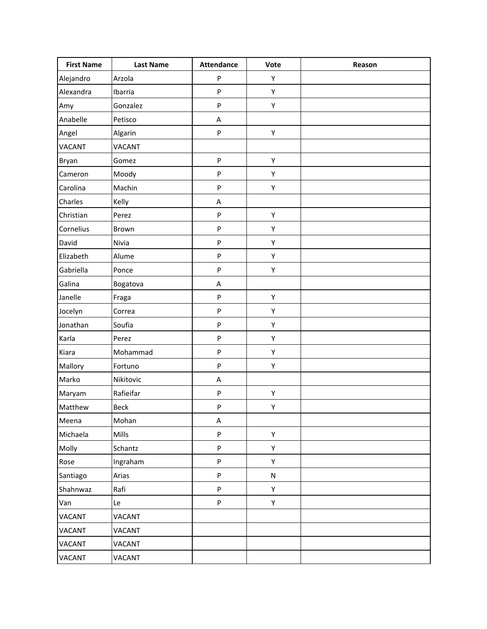| <b>First Name</b> | <b>Last Name</b> | <b>Attendance</b> | Vote      | Reason |
|-------------------|------------------|-------------------|-----------|--------|
| Alejandro         | Arzola           | P                 | Υ         |        |
| Alexandra         | Ibarria          | P                 | Υ         |        |
| Amy               | Gonzalez         | P                 | Υ         |        |
| Anabelle          | Petisco          | A                 |           |        |
| Angel             | Algarin          | $\mathsf{P}$      | Υ         |        |
| <b>VACANT</b>     | <b>VACANT</b>    |                   |           |        |
| Bryan             | Gomez            | $\sf P$           | Υ         |        |
| Cameron           | Moody            | ${\sf P}$         | Υ         |        |
| Carolina          | Machin           | $\mathsf{P}$      | Υ         |        |
| Charles           | Kelly            | A                 |           |        |
| Christian         | Perez            | P                 | Υ         |        |
| Cornelius         | Brown            | P                 | Υ         |        |
| David             | Nivia            | $\mathsf{P}$      | Υ         |        |
| Elizabeth         | Alume            | $\sf P$           | Υ         |        |
| Gabriella         | Ponce            | P                 | Υ         |        |
| Galina            | Bogatova         | A                 |           |        |
| Janelle           | Fraga            | ${\sf P}$         | Υ         |        |
| Jocelyn           | Correa           | P                 | Υ         |        |
| Jonathan          | Soufia           | $\mathsf{P}$      | Υ         |        |
| Karla             | Perez            | P                 | Υ         |        |
| Kiara             | Mohammad         | $\mathsf{P}$      | Υ         |        |
| Mallory           | Fortuno          | P                 | Υ         |        |
| Marko             | Nikitovic        | A                 |           |        |
| Maryam            | Rafieifar        | ${\sf P}$         | Υ         |        |
| Matthew           | <b>Beck</b>      | P                 | Υ         |        |
| Meena             | Mohan            | A                 |           |        |
| Michaela          | Mills            | ${\sf P}$         | Υ         |        |
| Molly             | Schantz          | P                 | Υ         |        |
| Rose              | Ingraham         | ${\sf P}$         | Υ         |        |
| Santiago          | Arias            | P                 | ${\sf N}$ |        |
| Shahnwaz          | Rafi             | P                 | Υ         |        |
| Van               | Le               | ${\sf P}$         | Υ         |        |
| <b>VACANT</b>     | VACANT           |                   |           |        |
| <b>VACANT</b>     | VACANT           |                   |           |        |
| VACANT            | <b>VACANT</b>    |                   |           |        |
| <b>VACANT</b>     | VACANT           |                   |           |        |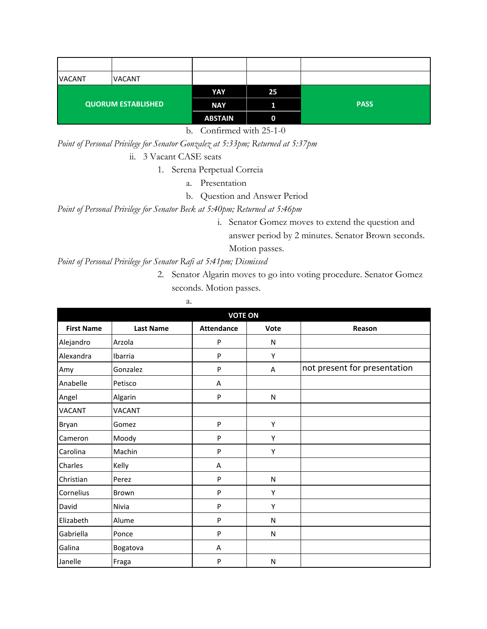| <b>VACANT</b>             | <b>VACANT</b> |                |          |             |
|---------------------------|---------------|----------------|----------|-------------|
| <b>QUORUM ESTABLISHED</b> |               | YAY            | 25       |             |
|                           |               | <b>NAY</b>     |          | <b>PASS</b> |
|                           |               | <b>ABSTAIN</b> | $\bf{0}$ |             |

b. Confirmed with 25-1-0

*Point of Personal Privilege for Senator Gonzalez at 5:33pm; Returned at 5:37pm* ii. 3 Vacant CASE seats

1. Serena Perpetual Correia

- a. Presentation
	- b. Question and Answer Period

*Point of Personal Privilege for Senator Beck at 5:40pm; Returned at 5:46pm*

i. Senator Gomez moves to extend the question and answer period by 2 minutes. Senator Brown seconds. Motion passes.

*Point of Personal Privilege for Senator Rafi at 5:41pm; Dismissed*

2. Senator Algarin moves to go into voting procedure. Senator Gomez seconds. Motion passes.

| <b>VOTE ON</b>    |                  |                   |      |                              |
|-------------------|------------------|-------------------|------|------------------------------|
| <b>First Name</b> | <b>Last Name</b> | <b>Attendance</b> | Vote | Reason                       |
| Alejandro         | Arzola           | P                 | N    |                              |
| Alexandra         | Ibarria          | ${\sf P}$         | Υ    |                              |
| Amy               | Gonzalez         | P                 | Α    | not present for presentation |
| Anabelle          | Petisco          | Α                 |      |                              |
| Angel             | Algarin          | $\mathsf{P}$      | N    |                              |
| <b>VACANT</b>     | VACANT           |                   |      |                              |
| Bryan             | Gomez            | P                 | Υ    |                              |
| Cameron           | Moody            | P                 | Υ    |                              |
| Carolina          | Machin           | P                 | Υ    |                              |
| Charles           | Kelly            | Α                 |      |                              |
| Christian         | Perez            | P                 | N    |                              |
| Cornelius         | Brown            | P                 | Y    |                              |
| David             | Nivia            | P                 | Y    |                              |
| Elizabeth         | Alume            | P                 | N    |                              |
| Gabriella         | Ponce            | P                 | N    |                              |
| Galina            | Bogatova         | Α                 |      |                              |
| Janelle           | Fraga            | P                 | N    |                              |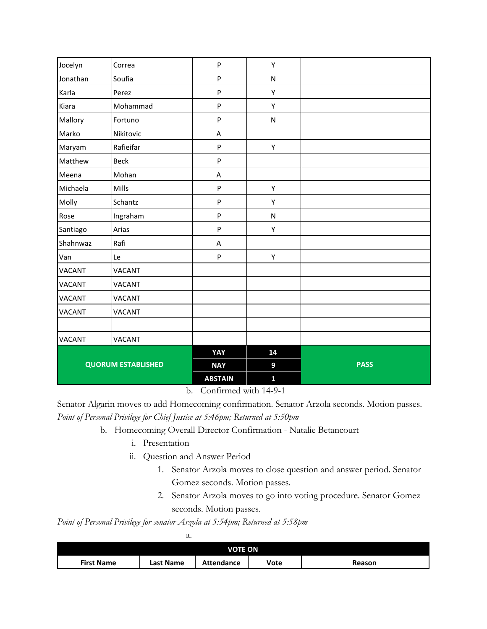| Jocelyn                   | Correa        | P                         | Υ            |             |
|---------------------------|---------------|---------------------------|--------------|-------------|
| Jonathan                  | Soufia        | P                         | ${\sf N}$    |             |
| Karla                     | Perez         | P                         | Υ            |             |
| Kiara                     | Mohammad      | P                         | Υ            |             |
| Mallory                   | Fortuno       | P                         | ${\sf N}$    |             |
| Marko                     | Nikitovic     | $\boldsymbol{\mathsf{A}}$ |              |             |
| Maryam                    | Rafieifar     | P                         | Υ            |             |
| Matthew                   | Beck          | P                         |              |             |
| Meena                     | Mohan         | A                         |              |             |
| Michaela                  | Mills         | P                         | Υ            |             |
| Molly                     | Schantz       | P                         | Υ            |             |
| Rose                      | Ingraham      | P                         | N            |             |
| Santiago                  | Arias         | P                         | Υ            |             |
| Shahnwaz                  | Rafi          | A                         |              |             |
| Van                       | Le            | P                         | Υ            |             |
| <b>VACANT</b>             | <b>VACANT</b> |                           |              |             |
| VACANT                    | <b>VACANT</b> |                           |              |             |
| <b>VACANT</b>             | <b>VACANT</b> |                           |              |             |
| <b>VACANT</b>             | <b>VACANT</b> |                           |              |             |
|                           |               |                           |              |             |
| <b>VACANT</b>             | <b>VACANT</b> |                           |              |             |
|                           |               | YAY                       | 14           |             |
| <b>QUORUM ESTABLISHED</b> |               | <b>NAY</b>                | 9            | <b>PASS</b> |
|                           |               | <b>ABSTAIN</b>            | $\mathbf{1}$ |             |

b. Confirmed with 14-9-1

Senator Algarin moves to add Homecoming confirmation. Senator Arzola seconds. Motion passes. *Point of Personal Privilege for Chief Justice at 5:46pm; Returned at 5:50pm*

- b. Homecoming Overall Director Confirmation Natalie Betancourt
	- i. Presentation
	- ii. Question and Answer Period
		- 1. Senator Arzola moves to close question and answer period. Senator Gomez seconds. Motion passes.
		- 2. Senator Arzola moves to go into voting procedure. Senator Gomez seconds. Motion passes.

*Point of Personal Privilege for senator Arzola at 5:54pm; Returned at 5:58pm*

a.

| <b>VOTE ON</b>    |           |                   |      |        |
|-------------------|-----------|-------------------|------|--------|
| <b>First Name</b> | Last Name | <b>Attendance</b> | Vote | Reason |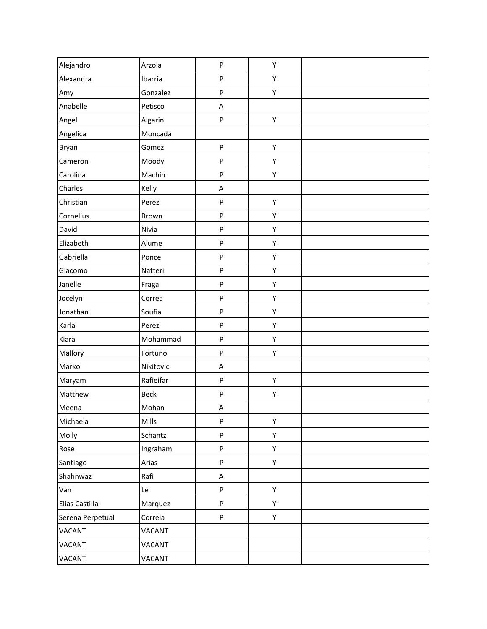| Alejandro        | Arzola      | P                         | Υ |  |
|------------------|-------------|---------------------------|---|--|
| Alexandra        | Ibarria     | P                         | Υ |  |
| Amy              | Gonzalez    | ${\sf P}$                 | Υ |  |
| Anabelle         | Petisco     | A                         |   |  |
| Angel            | Algarin     | P                         | Υ |  |
| Angelica         | Moncada     |                           |   |  |
| Bryan            | Gomez       | ${\sf P}$                 | Υ |  |
| Cameron          | Moody       | ${\sf P}$                 | Υ |  |
| Carolina         | Machin      | P                         | Υ |  |
| Charles          | Kelly       | Α                         |   |  |
| Christian        | Perez       | P                         | Υ |  |
| Cornelius        | Brown       | ${\sf P}$                 | Υ |  |
| David            | Nivia       | ${\sf P}$                 | Υ |  |
| Elizabeth        | Alume       | P                         | Υ |  |
| Gabriella        | Ponce       | ${\sf P}$                 | Υ |  |
| Giacomo          | Natteri     | P                         | Υ |  |
| Janelle          | Fraga       | ${\sf P}$                 | Υ |  |
| Jocelyn          | Correa      | P                         | Υ |  |
| Jonathan         | Soufia      | P                         | Υ |  |
| Karla            | Perez       | ${\sf P}$                 | Υ |  |
| Kiara            | Mohammad    | P                         | Υ |  |
| Mallory          | Fortuno     | ${\sf P}$                 | Υ |  |
| Marko            | Nikitovic   | Α                         |   |  |
| Maryam           | Rafieifar   | ${\sf P}$                 | Υ |  |
| Matthew          | <b>Beck</b> | P                         | Υ |  |
| Meena            | Mohan       | Α                         |   |  |
| Michaela         | Mills       | P                         | Υ |  |
| Molly            | Schantz     | ${\sf P}$                 | Υ |  |
| Rose             | Ingraham    | P                         | Υ |  |
| Santiago         | Arias       | $\boldsymbol{\mathsf{P}}$ | Υ |  |
| Shahnwaz         | Rafi        | A                         |   |  |
| Van              | Le          | $\boldsymbol{\mathsf{P}}$ | Υ |  |
| Elias Castilla   | Marquez     | $\boldsymbol{\mathsf{P}}$ | Υ |  |
| Serena Perpetual | Correia     | P                         | Υ |  |
| VACANT           | VACANT      |                           |   |  |
| VACANT           | VACANT      |                           |   |  |
| VACANT           | VACANT      |                           |   |  |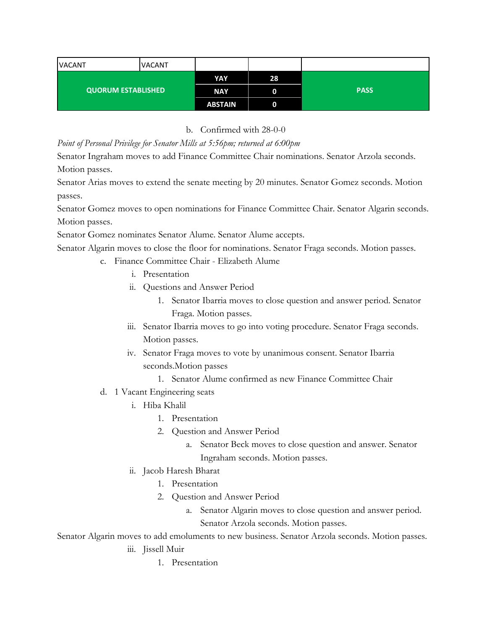| <b>VACANT</b>             | <b>VACANT</b> |                |    |             |
|---------------------------|---------------|----------------|----|-------------|
| <b>QUORUM ESTABLISHED</b> |               | YAY            | 28 |             |
|                           |               | <b>NAY</b>     | 0  | <b>PASS</b> |
|                           |               | <b>ABSTAIN</b> | 0  |             |

b. Confirmed with 28-0-0

*Point of Personal Privilege for Senator Mills at 5:56pm; returned at 6:00pm*

Senator Ingraham moves to add Finance Committee Chair nominations. Senator Arzola seconds. Motion passes.

Senator Arias moves to extend the senate meeting by 20 minutes. Senator Gomez seconds. Motion passes.

Senator Gomez moves to open nominations for Finance Committee Chair. Senator Algarin seconds. Motion passes.

Senator Gomez nominates Senator Alume. Senator Alume accepts.

Senator Algarin moves to close the floor for nominations. Senator Fraga seconds. Motion passes.

- c. Finance Committee Chair Elizabeth Alume
	- i. Presentation
	- ii. Questions and Answer Period
		- 1. Senator Ibarria moves to close question and answer period. Senator Fraga. Motion passes.
	- iii. Senator Ibarria moves to go into voting procedure. Senator Fraga seconds. Motion passes.
	- iv. Senator Fraga moves to vote by unanimous consent. Senator Ibarria seconds.Motion passes
		- 1. Senator Alume confirmed as new Finance Committee Chair
- d. 1 Vacant Engineering seats
	- i. Hiba Khalil
		- 1. Presentation
		- 2. Question and Answer Period
			- a. Senator Beck moves to close question and answer. Senator Ingraham seconds. Motion passes.
	- ii. Jacob Haresh Bharat
		- 1. Presentation
		- 2. Question and Answer Period
			- a. Senator Algarin moves to close question and answer period. Senator Arzola seconds. Motion passes.

Senator Algarin moves to add emoluments to new business. Senator Arzola seconds. Motion passes.

### iii. Jissell Muir

1. Presentation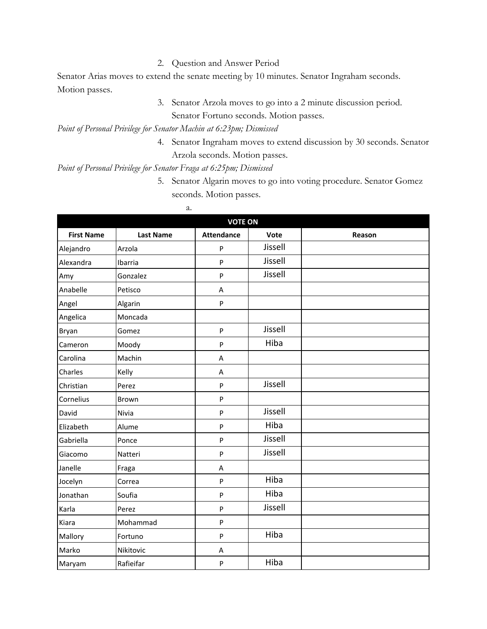2. Question and Answer Period

Senator Arias moves to extend the senate meeting by 10 minutes. Senator Ingraham seconds. Motion passes.

> 3. Senator Arzola moves to go into a 2 minute discussion period. Senator Fortuno seconds. Motion passes.

*Point of Personal Privilege for Senator Machin at 6:23pm; Dismissed*

4. Senator Ingraham moves to extend discussion by 30 seconds. Senator Arzola seconds. Motion passes.

*Point of Personal Privilege for Senator Fraga at 6:25pm; Dismissed*

5. Senator Algarin moves to go into voting procedure. Senator Gomez seconds. Motion passes.

| а. |
|----|
|----|

| <b>VOTE ON</b>    |                  |                   |         |        |
|-------------------|------------------|-------------------|---------|--------|
| <b>First Name</b> | <b>Last Name</b> | <b>Attendance</b> | Vote    | Reason |
| Alejandro         | Arzola           | P                 | Jissell |        |
| Alexandra         | Ibarria          | $\mathsf{P}$      | Jissell |        |
| Amy               | Gonzalez         | $\mathsf{P}$      | Jissell |        |
| Anabelle          | Petisco          | A                 |         |        |
| Angel             | Algarin          | P                 |         |        |
| Angelica          | Moncada          |                   |         |        |
| Bryan             | Gomez            | $\sf P$           | Jissell |        |
| Cameron           | Moody            | $\sf P$           | Hiba    |        |
| Carolina          | Machin           | Α                 |         |        |
| Charles           | Kelly            | Α                 |         |        |
| Christian         | Perez            | ${\sf P}$         | Jissell |        |
| Cornelius         | <b>Brown</b>     | P                 |         |        |
| David             | Nivia            | $\sf P$           | Jissell |        |
| Elizabeth         | Alume            | $\mathsf{P}$      | Hiba    |        |
| Gabriella         | Ponce            | $\mathsf{P}$      | Jissell |        |
| Giacomo           | Natteri          | $\sf P$           | Jissell |        |
| Janelle           | Fraga            | Α                 |         |        |
| Jocelyn           | Correa           | P                 | Hiba    |        |
| Jonathan          | Soufia           | P                 | Hiba    |        |
| Karla             | Perez            | $\sf P$           | Jissell |        |
| Kiara             | Mohammad         | P                 |         |        |
| Mallory           | Fortuno          | $\sf P$           | Hiba    |        |
| Marko             | Nikitovic        | Α                 |         |        |
| Maryam            | Rafieifar        | ${\sf P}$         | Hiba    |        |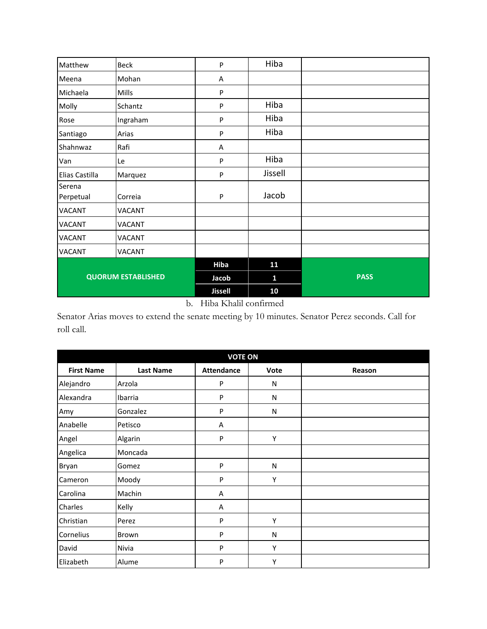| Matthew                   | <b>Beck</b>   | P              | Hiba    |             |
|---------------------------|---------------|----------------|---------|-------------|
| Meena                     | Mohan         | A              |         |             |
| Michaela                  | Mills         | P              |         |             |
| Molly                     | Schantz       | P              | Hiba    |             |
| Rose                      | Ingraham      | P              | Hiba    |             |
| Santiago                  | Arias         | P              | Hiba    |             |
| Shahnwaz                  | Rafi          | A              |         |             |
| Van                       | Le            | P              | Hiba    |             |
| Elias Castilla            | Marquez       | P              | Jissell |             |
| Serena<br>Perpetual       | Correia       | P              | Jacob   |             |
| <b>VACANT</b>             | <b>VACANT</b> |                |         |             |
| <b>VACANT</b>             | <b>VACANT</b> |                |         |             |
| VACANT                    | <b>VACANT</b> |                |         |             |
| <b>VACANT</b>             | VACANT        |                |         |             |
| <b>QUORUM ESTABLISHED</b> |               | <b>Hiba</b>    | 11      |             |
|                           |               | Jacob          | Ū.      | <b>PASS</b> |
|                           |               | <b>Jissell</b> | 10      |             |

## b. Hiba Khalil confirmed

Senator Arias moves to extend the senate meeting by 10 minutes. Senator Perez seconds. Call for roll call.

| <b>VOTE ON</b>    |                  |                   |      |        |
|-------------------|------------------|-------------------|------|--------|
| <b>First Name</b> | <b>Last Name</b> | <b>Attendance</b> | Vote | Reason |
| Alejandro         | Arzola           | P                 | N    |        |
| Alexandra         | Ibarria          | P                 | N    |        |
| Amy               | Gonzalez         | P                 | N    |        |
| Anabelle          | Petisco          | Α                 |      |        |
| Angel             | Algarin          | P                 | Υ    |        |
| Angelica          | Moncada          |                   |      |        |
| Bryan             | Gomez            | P                 | N    |        |
| Cameron           | Moody            | P                 | Υ    |        |
| Carolina          | Machin           | Α                 |      |        |
| Charles           | Kelly            | Α                 |      |        |
| Christian         | Perez            | P                 | Υ    |        |
| Cornelius         | Brown            | P                 | N    |        |
| David             | Nivia            | P                 | Υ    |        |
| Elizabeth         | Alume            | P                 | Y    |        |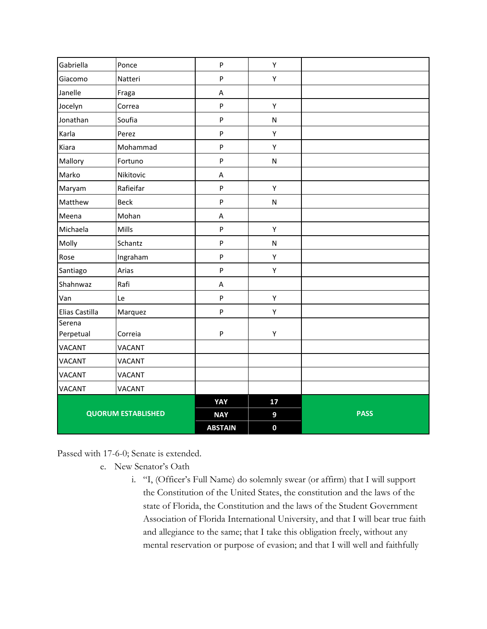| Gabriella                 | Ponce         | $\sf P$                   | Υ                |             |
|---------------------------|---------------|---------------------------|------------------|-------------|
| Giacomo                   | Natteri       | ${\sf P}$                 | Υ                |             |
| Janelle                   | Fraga         | A                         |                  |             |
| Jocelyn                   | Correa        | $\sf P$                   | Υ                |             |
| Jonathan                  | Soufia        | $\boldsymbol{\mathsf{P}}$ | ${\sf N}$        |             |
| Karla                     | Perez         | $\sf P$                   | Υ                |             |
| Kiara                     | Mohammad      | $\mathsf{P}$              | Y                |             |
| Mallory                   | Fortuno       | $\sf P$                   | ${\sf N}$        |             |
| Marko                     | Nikitovic     | Α                         |                  |             |
| Maryam                    | Rafieifar     | $\sf P$                   | Υ                |             |
| Matthew                   | <b>Beck</b>   | $\sf P$                   | ${\sf N}$        |             |
| Meena                     | Mohan         | A                         |                  |             |
| Michaela                  | Mills         | $\boldsymbol{\mathsf{P}}$ | Υ                |             |
| Molly                     | Schantz       | $\boldsymbol{\mathsf{P}}$ | ${\sf N}$        |             |
| Rose                      | Ingraham      | $\boldsymbol{\mathsf{P}}$ | Υ                |             |
| Santiago                  | Arias         | $\boldsymbol{\mathsf{P}}$ | Υ                |             |
| Shahnwaz                  | Rafi          | A                         |                  |             |
| Van                       | Le            | $\sf P$                   | Υ                |             |
| Elias Castilla            | Marquez       | ${\sf P}$                 | Υ                |             |
| Serena<br>Perpetual       | Correia       | $\mathsf{P}$              | Υ                |             |
| <b>VACANT</b>             | <b>VACANT</b> |                           |                  |             |
| <b>VACANT</b>             | <b>VACANT</b> |                           |                  |             |
| <b>VACANT</b>             | <b>VACANT</b> |                           |                  |             |
| <b>VACANT</b>             | <b>VACANT</b> |                           |                  |             |
|                           |               | YAY                       | 17               |             |
| <b>QUORUM ESTABLISHED</b> |               |                           | 9                | <b>PASS</b> |
|                           |               | <b>NAY</b>                |                  |             |
|                           |               | <b>ABSTAIN</b>            | $\boldsymbol{0}$ |             |

Passed with 17-6-0; Senate is extended.

- e. New Senator's Oath
	- i. "I, (Officer's Full Name) do solemnly swear (or affirm) that I will support the Constitution of the United States, the constitution and the laws of the state of Florida, the Constitution and the laws of the Student Government Association of Florida International University, and that I will bear true faith and allegiance to the same; that I take this obligation freely, without any mental reservation or purpose of evasion; and that I will well and faithfully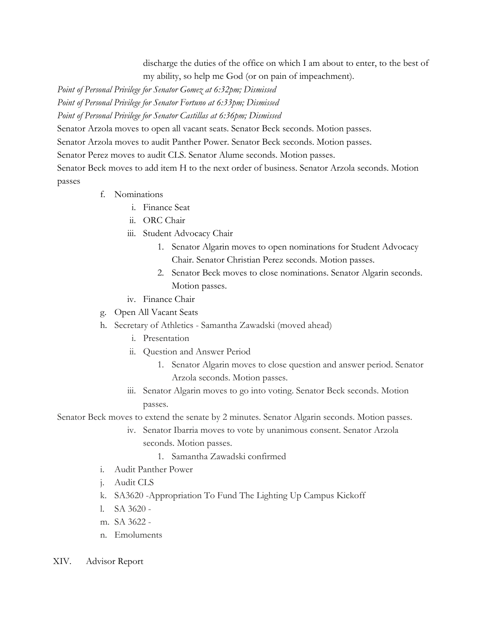discharge the duties of the office on which I am about to enter, to the best of my ability, so help me God (or on pain of impeachment).

*Point of Personal Privilege for Senator Gomez at 6:32pm; Dismissed*

*Point of Personal Privilege for Senator Fortuno at 6:33pm; Dismissed*

*Point of Personal Privilege for Senator Castillas at 6:36pm; Dismissed*

Senator Arzola moves to open all vacant seats. Senator Beck seconds. Motion passes.

Senator Arzola moves to audit Panther Power. Senator Beck seconds. Motion passes.

Senator Perez moves to audit CLS. Senator Alume seconds. Motion passes.

Senator Beck moves to add item H to the next order of business. Senator Arzola seconds. Motion passes

- f. Nominations
	- i. Finance Seat
	- ii. ORC Chair
	- iii. Student Advocacy Chair
		- 1. Senator Algarin moves to open nominations for Student Advocacy Chair. Senator Christian Perez seconds. Motion passes.
		- 2. Senator Beck moves to close nominations. Senator Algarin seconds. Motion passes.
	- iv. Finance Chair
- g. Open All Vacant Seats
- h. Secretary of Athletics Samantha Zawadski (moved ahead)
	- i. Presentation
	- ii. Question and Answer Period
		- 1. Senator Algarin moves to close question and answer period. Senator Arzola seconds. Motion passes.
	- iii. Senator Algarin moves to go into voting. Senator Beck seconds. Motion passes.

Senator Beck moves to extend the senate by 2 minutes. Senator Algarin seconds. Motion passes.

- iv. Senator Ibarria moves to vote by unanimous consent. Senator Arzola seconds. Motion passes.
	- 1. Samantha Zawadski confirmed
- i. Audit Panther Power
- j. Audit CLS
- k. SA3620 -Appropriation To Fund The Lighting Up Campus Kickoff
- l. SA 3620 -
- m. SA 3622 -
- n. Emoluments
- XIV. Advisor Report